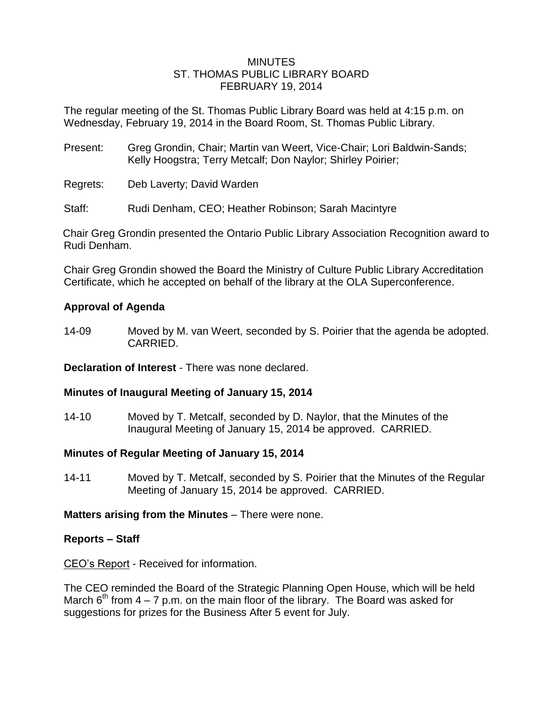#### **MINUTES** ST. THOMAS PUBLIC LIBRARY BOARD FEBRUARY 19, 2014

The regular meeting of the St. Thomas Public Library Board was held at 4:15 p.m. on Wednesday, February 19, 2014 in the Board Room, St. Thomas Public Library.

- Present: Greg Grondin, Chair; Martin van Weert, Vice-Chair; Lori Baldwin-Sands; Kelly Hoogstra; Terry Metcalf; Don Naylor; Shirley Poirier;
- Regrets: Deb Laverty; David Warden
- Staff: Rudi Denham, CEO; Heather Robinson; Sarah Macintyre

Chair Greg Grondin presented the Ontario Public Library Association Recognition award to Rudi Denham.

Chair Greg Grondin showed the Board the Ministry of Culture Public Library Accreditation Certificate, which he accepted on behalf of the library at the OLA Superconference.

# **Approval of Agenda**

14-09 Moved by M. van Weert, seconded by S. Poirier that the agenda be adopted. CARRIED.

**Declaration of Interest** - There was none declared.

## **Minutes of Inaugural Meeting of January 15, 2014**

14-10 Moved by T. Metcalf, seconded by D. Naylor, that the Minutes of the Inaugural Meeting of January 15, 2014 be approved. CARRIED.

## **Minutes of Regular Meeting of January 15, 2014**

14-11 Moved by T. Metcalf, seconded by S. Poirier that the Minutes of the Regular Meeting of January 15, 2014 be approved. CARRIED.

## **Matters arising from the Minutes** – There were none.

## **Reports – Staff**

CEO's Report - Received for information.

The CEO reminded the Board of the Strategic Planning Open House, which will be held March  $6<sup>th</sup>$  from 4 – 7 p.m. on the main floor of the library. The Board was asked for suggestions for prizes for the Business After 5 event for July.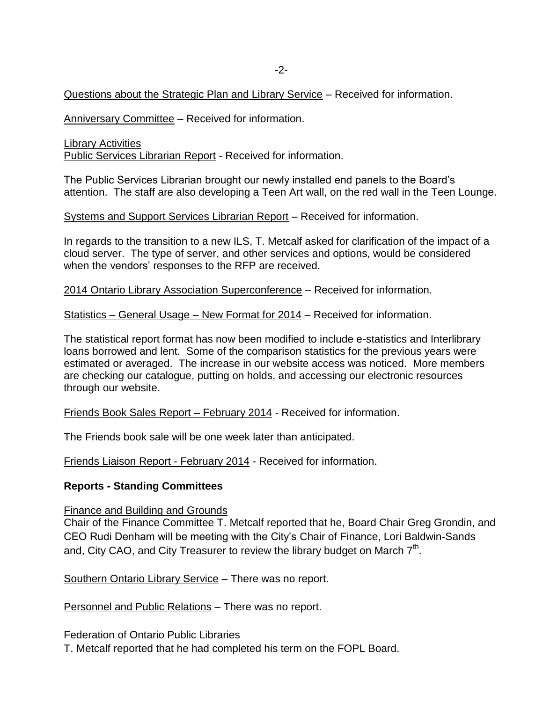## Questions about the Strategic Plan and Library Service – Received for information.

Anniversary Committee – Received for information.

Library Activities Public Services Librarian Report - Received for information.

The Public Services Librarian brought our newly installed end panels to the Board's attention. The staff are also developing a Teen Art wall, on the red wall in the Teen Lounge.

## Systems and Support Services Librarian Report – Received for information.

In regards to the transition to a new ILS, T. Metcalf asked for clarification of the impact of a cloud server. The type of server, and other services and options, would be considered when the vendors' responses to the RFP are received.

2014 Ontario Library Association Superconference – Received for information.

Statistics – General Usage – New Format for 2014 – Received for information.

The statistical report format has now been modified to include e-statistics and Interlibrary loans borrowed and lent. Some of the comparison statistics for the previous years were estimated or averaged. The increase in our website access was noticed. More members are checking our catalogue, putting on holds, and accessing our electronic resources through our website.

Friends Book Sales Report – February 2014 - Received for information.

The Friends book sale will be one week later than anticipated.

Friends Liaison Report - February 2014 - Received for information.

## **Reports - Standing Committees**

Finance and Building and Grounds

Chair of the Finance Committee T. Metcalf reported that he, Board Chair Greg Grondin, and CEO Rudi Denham will be meeting with the City's Chair of Finance, Lori Baldwin-Sands and, City CAO, and City Treasurer to review the library budget on March  $7<sup>th</sup>$ .

Southern Ontario Library Service – There was no report.

Personnel and Public Relations – There was no report.

Federation of Ontario Public Libraries

T. Metcalf reported that he had completed his term on the FOPL Board.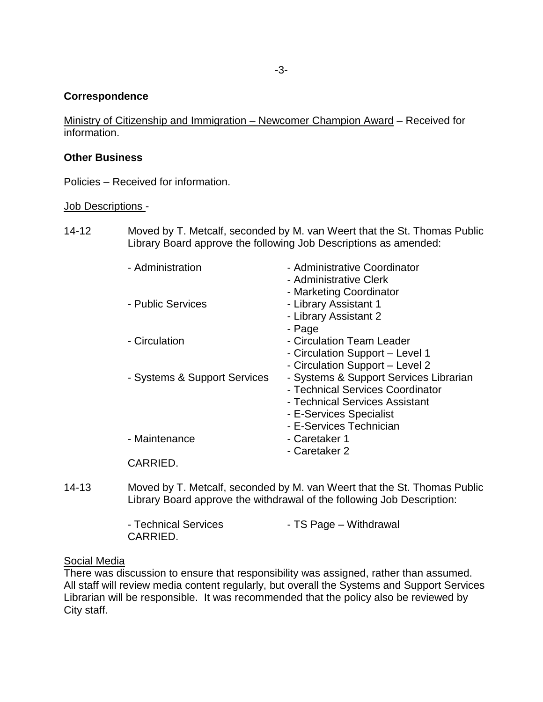#### **Correspondence**

Ministry of Citizenship and Immigration – Newcomer Champion Award – Received for information.

#### **Other Business**

Policies – Received for information.

#### Job Descriptions -

14-12 Moved by T. Metcalf, seconded by M. van Weert that the St. Thomas Public Library Board approve the following Job Descriptions as amended:

| - Administration             | - Administrative Coordinator           |
|------------------------------|----------------------------------------|
|                              | - Administrative Clerk                 |
|                              | - Marketing Coordinator                |
| - Public Services            | - Library Assistant 1                  |
|                              | - Library Assistant 2                  |
|                              | - Page                                 |
| - Circulation                | - Circulation Team Leader              |
|                              | - Circulation Support – Level 1        |
|                              | - Circulation Support - Level 2        |
| - Systems & Support Services | - Systems & Support Services Librarian |
|                              | - Technical Services Coordinator       |
|                              | - Technical Services Assistant         |
|                              | - E-Services Specialist                |
|                              | - E-Services Technician                |
| - Maintenance                | - Caretaker 1                          |
|                              | - Caretaker 2                          |
| CARRIED.                     |                                        |
|                              |                                        |

14-13 Moved by T. Metcalf, seconded by M. van Weert that the St. Thomas Public Library Board approve the withdrawal of the following Job Description:

| - Technical Services | - TS Page – Withdrawal |
|----------------------|------------------------|
| CARRIED.             |                        |

#### Social Media

There was discussion to ensure that responsibility was assigned, rather than assumed. All staff will review media content regularly, but overall the Systems and Support Services Librarian will be responsible. It was recommended that the policy also be reviewed by City staff.